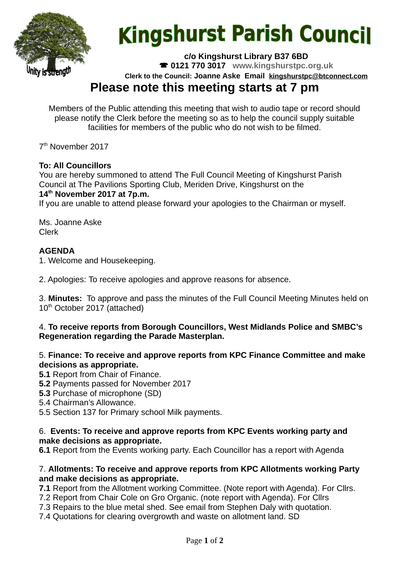

# **Kingshurst Parish Council**

**c/o Kingshurst Library B37 6BD**

**0121 770 3017 www.kingshurstpc.org.uk**

**Clerk to the Council: Joanne Aske Email [kingshurstpc@btconnect.com](mailto:kingshurstpc@btconnect.com)**

# **Please note this meeting starts at 7 pm**

Members of the Public attending this meeting that wish to audio tape or record should please notify the Clerk before the meeting so as to help the council supply suitable facilities for members of the public who do not wish to be filmed.

7<sup>th</sup> November 2017

# **To: All Councillors**

You are hereby summoned to attend The Full Council Meeting of Kingshurst Parish Council at The Pavilions Sporting Club, Meriden Drive, Kingshurst on the **14th November 2017 at 7p.m.**

If you are unable to attend please forward your apologies to the Chairman or myself.

Ms. Joanne Aske Clerk

# **AGENDA**

1. Welcome and Housekeeping.

2. Apologies: To receive apologies and approve reasons for absence.

3. **Minutes:** To approve and pass the minutes of the Full Council Meeting Minutes held on 10<sup>th</sup> October 2017 (attached)

#### 4. **To receive reports from Borough Councillors, West Midlands Police and SMBC's Regeneration regarding the Parade Masterplan.**

#### 5. **Finance: To receive and approve reports from KPC Finance Committee and make decisions as appropriate.**

- **5.1** Report from Chair of Finance.
- **5.2** Payments passed for November 2017
- **5.3** Purchase of microphone (SD)
- 5.4 Chairman's Allowance.
- 5.5 Section 137 for Primary school Milk payments.

#### 6. **Events: To receive and approve reports from KPC Events working party and make decisions as appropriate.**

**6.1** Report from the Events working party. Each Councillor has a report with Agenda

#### 7. **Allotments: To receive and approve reports from KPC Allotments working Party and make decisions as appropriate.**

**7.1** Report from the Allotment working Committee. (Note report with Agenda). For Cllrs.

- 7.2 Report from Chair Cole on Gro Organic. (note report with Agenda). For Cllrs
- 7.3 Repairs to the blue metal shed. See email from Stephen Daly with quotation.
- 7.4 Quotations for clearing overgrowth and waste on allotment land. SD